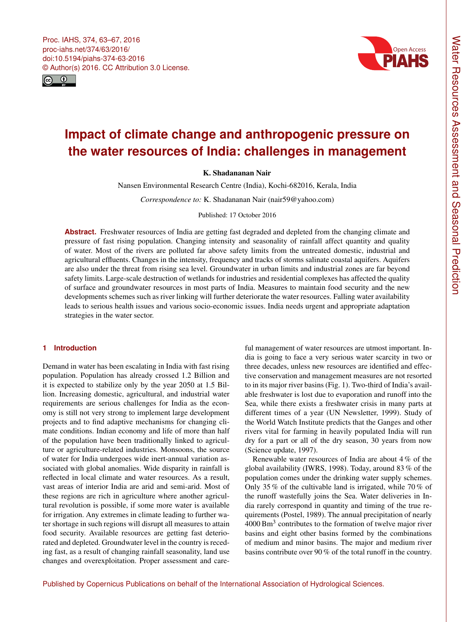<span id="page-0-0"></span>Proc. IAHS, 374, 63–67, 2016 proc-iahs.net/374/63/2016/ doi:10.5194/piahs-374-63-2016 © Author(s) 2016. CC Attribution 3.0 License.





# **Impact of climate change and anthropogenic pressure on the water resources of India: challenges in management**

K. Shadananan Nair

Nansen Environmental Research Centre (India), Kochi-682016, Kerala, India

*Correspondence to:* K. Shadananan Nair (nair59@yahoo.com)

Published: 17 October 2016

**Abstract.** Freshwater resources of India are getting fast degraded and depleted from the changing climate and pressure of fast rising population. Changing intensity and seasonality of rainfall affect quantity and quality of water. Most of the rivers are polluted far above safety limits from the untreated domestic, industrial and agricultural effluents. Changes in the intensity, frequency and tracks of storms salinate coastal aquifers. Aquifers are also under the threat from rising sea level. Groundwater in urban limits and industrial zones are far beyond safety limits. Large-scale destruction of wetlands for industries and residential complexes has affected the quality of surface and groundwater resources in most parts of India. Measures to maintain food security and the new developments schemes such as river linking will further deteriorate the water resources. Falling water availability leads to serious health issues and various socio-economic issues. India needs urgent and appropriate adaptation strategies in the water sector.

## **1 Introduction**

Demand in water has been escalating in India with fast rising population. Population has already crossed 1.2 Billion and it is expected to stabilize only by the year 2050 at 1.5 Billion. Increasing domestic, agricultural, and industrial water requirements are serious challenges for India as the economy is still not very strong to implement large development projects and to find adaptive mechanisms for changing climate conditions. Indian economy and life of more than half of the population have been traditionally linked to agriculture or agriculture-related industries. Monsoons, the source of water for India undergoes wide inert-annual variation associated with global anomalies. Wide disparity in rainfall is reflected in local climate and water resources. As a result, vast areas of interior India are arid and semi-arid. Most of these regions are rich in agriculture where another agricultural revolution is possible, if some more water is available for irrigation. Any extremes in climate leading to further water shortage in such regions will disrupt all measures to attain food security. Available resources are getting fast deteriorated and depleted. Groundwater level in the country is receding fast, as a result of changing rainfall seasonality, land use changes and overexploitation. Proper assessment and care-

ful management of water resources are utmost important. India is going to face a very serious water scarcity in two or three decades, unless new resources are identified and effective conservation and management measures are not resorted to in its major river basins (Fig. 1). Two-third of India's available freshwater is lost due to evaporation and runoff into the Sea, while there exists a freshwater crisis in many parts at different times of a year (UN Newsletter, 1999). Study of the World Watch Institute predicts that the Ganges and other rivers vital for farming in heavily populated India will run dry for a part or all of the dry season, 30 years from now (Science update, 1997).

Renewable water resources of India are about 4 % of the global availability (IWRS, 1998). Today, around 83 % of the population comes under the drinking water supply schemes. Only 35 % of the cultivable land is irrigated, while 70 % of the runoff wastefully joins the Sea. Water deliveries in India rarely correspond in quantity and timing of the true requirements (Postel, 1989). The annual precipitation of nearly 4000 Bm<sup>3</sup> contributes to the formation of twelve major river basins and eight other basins formed by the combinations of medium and minor basins. The major and medium river basins contribute over 90 % of the total runoff in the country.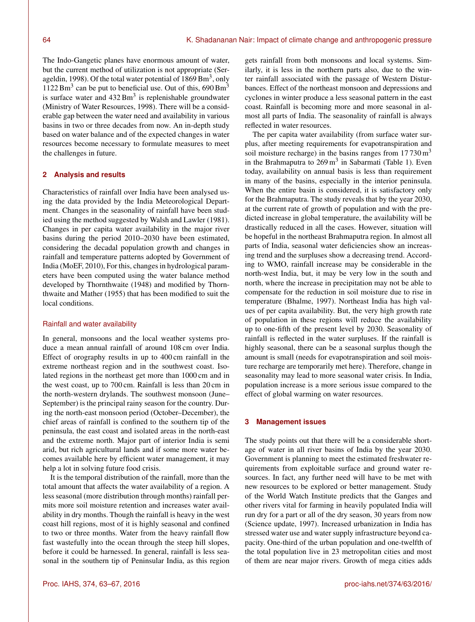The Indo-Gangetic planes have enormous amount of water, but the current method of utilization is not appropriate (Serageldin, 1998). Of the total water potential of  $1869 \text{ Bm}^3$ , only  $1122 \text{ Bm}^3$  can be put to beneficial use. Out of this, 690 Bm<sup>3</sup> is surface water and  $432 \text{ Bm}^3$  is replenishable groundwater (Ministry of Water Resources, 1998). There will be a considerable gap between the water need and availability in various basins in two or three decades from now. An in-depth study based on water balance and of the expected changes in water resources become necessary to formulate measures to meet the challenges in future.

# **2 Analysis and results**

Characteristics of rainfall over India have been analysed using the data provided by the India Meteorological Department. Changes in the seasonality of rainfall have been studied using the method suggested by Walsh and Lawler (1981). Changes in per capita water availability in the major river basins during the period 2010–2030 have been estimated, considering the decadal population growth and changes in rainfall and temperature patterns adopted by Government of India (MoEF, 2010), For this, changes in hydrological parameters have been computed using the water balance method developed by Thornthwaite (1948) and modified by Thornthwaite and Mather (1955) that has been modified to suit the local conditions.

### Rainfall and water availability

In general, monsoons and the local weather systems produce a mean annual rainfall of around 108 cm over India. Effect of orography results in up to 400 cm rainfall in the extreme northeast region and in the southwest coast. Isolated regions in the northeast get more than 1000 cm and in the west coast, up to 700 cm. Rainfall is less than 20 cm in the north-western drylands. The southwest monsoon (June– September) is the principal rainy season for the country. During the north-east monsoon period (October–December), the chief areas of rainfall is confined to the southern tip of the peninsula, the east coast and isolated areas in the north-east and the extreme north. Major part of interior India is semi arid, but rich agricultural lands and if some more water becomes available here by efficient water management, it may help a lot in solving future food crisis.

It is the temporal distribution of the rainfall, more than the total amount that affects the water availability of a region. A less seasonal (more distribution through months) rainfall permits more soil moisture retention and increases water availability in dry months. Though the rainfall is heavy in the west coast hill regions, most of it is highly seasonal and confined to two or three months. Water from the heavy rainfall flow fast wastefully into the ocean through the steep hill slopes, before it could be harnessed. In general, rainfall is less seasonal in the southern tip of Peninsular India, as this region

gets rainfall from both monsoons and local systems. Similarly, it is less in the northern parts also, due to the winter rainfall associated with the passage of Western Disturbances. Effect of the northeast monsoon and depressions and cyclones in winter produce a less seasonal pattern in the east coast. Rainfall is becoming more and more seasonal in almost all parts of India. The seasonality of rainfall is always reflected in water resources.

The per capita water availability (from surface water surplus, after meeting requirements for evapotranspiration and soil moisture recharge) in the basins ranges from  $17730 \text{ m}^3$ in the Brahmaputra to  $269 \text{ m}^3$  in Sabarmati (Table 1). Even today, availability on annual basis is less than requirement in many of the basins, especially in the interior peninsula. When the entire basin is considered, it is satisfactory only for the Brahmaputra. The study reveals that by the year 2030, at the current rate of growth of population and with the predicted increase in global temperature, the availability will be drastically reduced in all the cases. However, situation will be hopeful in the northeast Brahmaputra region. In almost all parts of India, seasonal water deficiencies show an increasing trend and the surpluses show a decreasing trend. According to WMO, rainfall increase may be considerable in the north-west India, but, it may be very low in the south and north, where the increase in precipitation may not be able to compensate for the reduction in soil moisture due to rise in temperature (Bhalme, 1997). Northeast India has high values of per capita availability. But, the very high growth rate of population in these regions will reduce the availability up to one-fifth of the present level by 2030. Seasonality of rainfall is reflected in the water surpluses. If the rainfall is highly seasonal, there can be a seasonal surplus though the amount is small (needs for evapotranspiration and soil moisture recharge are temporarily met here). Therefore, change in seasonality may lead to more seasonal water crisis. In India, population increase is a more serious issue compared to the effect of global warming on water resources.

#### **3 Management issues**

The study points out that there will be a considerable shortage of water in all river basins of India by the year 2030. Government is planning to meet the estimated freshwater requirements from exploitable surface and ground water resources. In fact, any further need will have to be met with new resources to be explored or better management. Study of the World Watch Institute predicts that the Ganges and other rivers vital for farming in heavily populated India will run dry for a part or all of the dry season, 30 years from now (Science update, 1997). Increased urbanization in India has stressed water use and water supply infrastructure beyond capacity. One-third of the urban population and one-twelfth of the total population live in 23 metropolitan cities and most of them are near major rivers. Growth of mega cities adds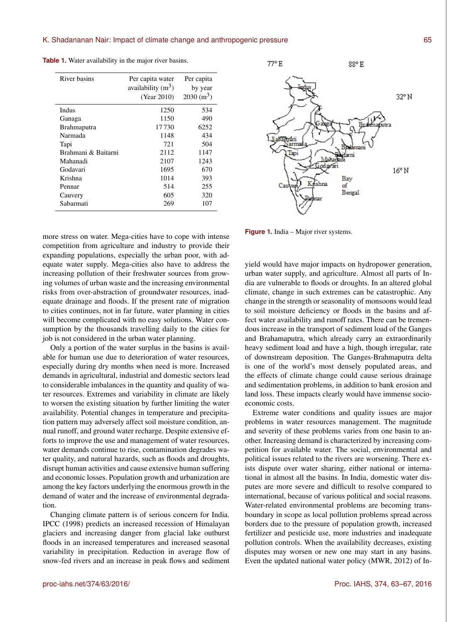| River basins        | Per capita water<br>availability $(m^3)$<br>(Year 2010) | Per capita<br>by year<br>$2030 \text{ (m}^3)$ |
|---------------------|---------------------------------------------------------|-----------------------------------------------|
| <b>Indus</b>        | 1250                                                    | 534                                           |
| Ganaga              | 1150                                                    | 490                                           |
| Brahmaputra         | 17730                                                   | 6252                                          |
| Narmada             | 1148                                                    | 434                                           |
| Tapi                | 721                                                     | 504                                           |
| Brahmani & Baitarni | 2112                                                    | 1147                                          |
| Mahanadi            | 2107                                                    | 1243                                          |
| Godavari            | 1695                                                    | 670                                           |
| Krishna             | 1014                                                    | 393                                           |
| Pennar              | 514                                                     | 255                                           |
| Cauvery             | 605                                                     | 320                                           |
| Sabarmati           | 269                                                     | 107                                           |

**Table 1.** Water availability in the major river basins.



more stress on water. Mega-cities have to cope with intense competition from agriculture and industry to provide their expanding populations, especially the urban poor, with adequate water supply. Mega-cities also have to address the increasing pollution of their freshwater sources from growing volumes of urban waste and the increasing environmental risks from over-abstraction of groundwater resources, inadequate drainage and floods. If the present rate of migration to cities continues, not in far future, water planning in cities will become complicated with no easy solutions. Water consumption by the thousands travelling daily to the cities for job is not considered in the urban water planning.

Only a portion of the water surplus in the basins is available for human use due to deterioration of water resources, especially during dry months when need is more. Increased demands in agricultural, industrial and domestic sectors lead to considerable imbalances in the quantity and quality of water resources. Extremes and variability in climate are likely to worsen the existing situation by further limiting the water availability. Potential changes in temperature and precipitation pattern may adversely affect soil moisture condition, annual runoff, and ground water recharge. Despite extensive efforts to improve the use and management of water resources, water demands continue to rise, contamination degrades water quality, and natural hazards, such as floods and droughts, disrupt human activities and cause extensive human suffering and economic losses. Population growth and urbanization are among the key factors underlying the enormous growth in the demand of water and the increase of environmental degradation.

Changing climate pattern is of serious concern for India. IPCC (1998) predicts an increased recession of Himalayan glaciers and increasing danger from glacial lake outburst floods in an increased temperatures and increased seasonal variability in precipitation. Reduction in average flow of snow-fed rivers and an increase in peak flows and sediment

**Figure 1.** India – Major river systems.

yield would have major impacts on hydropower generation, urban water supply, and agriculture. Almost all parts of India are vulnerable to floods or droughts. In an altered global climate, change in such extremes can be catastrophic. Any change in the strength or seasonality of monsoons would lead to soil moisture deficiency or floods in the basins and affect water availability and runoff rates. There can be tremendous increase in the transport of sediment load of the Ganges and Brahamaputra, which already carry an extraordinarily heavy sediment load and have a high, though irregular, rate of downstream deposition. The Ganges-Brahmaputra delta is one of the world's most densely populated areas, and the effects of climate change could cause serious drainage and sedimentation problems, in addition to bank erosion and land loss. These impacts clearly would have immense socioeconomic costs.

Extreme water conditions and quality issues are major problems in water resources management. The magnitude and severity of these problems varies from one basin to another. Increasing demand is characterized by increasing competition for available water. The social, environmental and political issues related to the rivers are worsening. There exists dispute over water sharing, either national or international in almost all the basins. In India, domestic water disputes are more severe and difficult to resolve compared to international, because of various political and social reasons. Water-related environmental problems are becoming transboundary in scope as local pollution problems spread across borders due to the pressure of population growth, increased fertilizer and pesticide use, more industries and inadequate pollution controls. When the availability decreases, existing disputes may worsen or new one may start in any basins. Even the updated national water policy (MWR, 2012) of In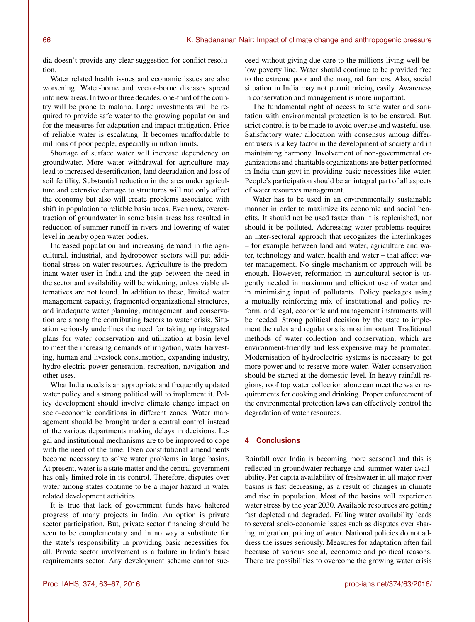dia doesn't provide any clear suggestion for conflict resolution.

Water related health issues and economic issues are also worsening. Water-borne and vector-borne diseases spread into new areas. In two or three decades, one-third of the country will be prone to malaria. Large investments will be required to provide safe water to the growing population and for the measures for adaptation and impact mitigation. Price of reliable water is escalating. It becomes unaffordable to millions of poor people, especially in urban limits.

Shortage of surface water will increase dependency on groundwater. More water withdrawal for agriculture may lead to increased desertification, land degradation and loss of soil fertility. Substantial reduction in the area under agriculture and extensive damage to structures will not only affect the economy but also will create problems associated with shift in population to reliable basin areas. Even now, overextraction of groundwater in some basin areas has resulted in reduction of summer runoff in rivers and lowering of water level in nearby open water bodies.

Increased population and increasing demand in the agricultural, industrial, and hydropower sectors will put additional stress on water resources. Agriculture is the predominant water user in India and the gap between the need in the sector and availability will be widening, unless viable alternatives are not found. In addition to these, limited water management capacity, fragmented organizational structures, and inadequate water planning, management, and conservation are among the contributing factors to water crisis. Situation seriously underlines the need for taking up integrated plans for water conservation and utilization at basin level to meet the increasing demands of irrigation, water harvesting, human and livestock consumption, expanding industry, hydro-electric power generation, recreation, navigation and other uses.

What India needs is an appropriate and frequently updated water policy and a strong political will to implement it. Policy development should involve climate change impact on socio-economic conditions in different zones. Water management should be brought under a central control instead of the various departments making delays in decisions. Legal and institutional mechanisms are to be improved to cope with the need of the time. Even constitutional amendments become necessary to solve water problems in large basins. At present, water is a state matter and the central government has only limited role in its control. Therefore, disputes over water among states continue to be a major hazard in water related development activities.

It is true that lack of government funds have haltered progress of many projects in India. An option is private sector participation. But, private sector financing should be seen to be complementary and in no way a substitute for the state's responsibility in providing basic necessities for all. Private sector involvement is a failure in India's basic requirements sector. Any development scheme cannot succeed without giving due care to the millions living well below poverty line. Water should continue to be provided free to the extreme poor and the marginal farmers. Also, social situation in India may not permit pricing easily. Awareness in conservation and management is more important.

The fundamental right of access to safe water and sanitation with environmental protection is to be ensured. But, strict control is to be made to avoid overuse and wasteful use. Satisfactory water allocation with consensus among different users is a key factor in the development of society and in maintaining harmony. Involvement of non-governmental organizations and charitable organizations are better performed in India than govt in providing basic necessities like water. People's participation should be an integral part of all aspects of water resources management.

Water has to be used in an environmentally sustainable manner in order to maximize its economic and social benefits. It should not be used faster than it is replenished, nor should it be polluted. Addressing water problems requires an inter-sectoral approach that recognizes the interlinkages – for example between land and water, agriculture and water, technology and water, health and water – that affect water management. No single mechanism or approach will be enough. However, reformation in agricultural sector is urgently needed in maximum and efficient use of water and in minimising input of pollutants. Policy packages using a mutually reinforcing mix of institutional and policy reform, and legal, economic and management instruments will be needed. Strong political decision by the state to implement the rules and regulations is most important. Traditional methods of water collection and conservation, which are environment-friendly and less expensive may be promoted. Modernisation of hydroelectric systems is necessary to get more power and to reserve more water. Water conservation should be started at the domestic level. In heavy rainfall regions, roof top water collection alone can meet the water requirements for cooking and drinking. Proper enforcement of the environmental protection laws can effectively control the degradation of water resources.

## **4 Conclusions**

Rainfall over India is becoming more seasonal and this is reflected in groundwater recharge and summer water availability. Per capita availability of freshwater in all major river basins is fast decreasing, as a result of changes in climate and rise in population. Most of the basins will experience water stress by the year 2030. Available resources are getting fast depleted and degraded. Falling water availability leads to several socio-economic issues such as disputes over sharing, migration, pricing of water. National policies do not address the issues seriously. Measures for adaptation often fail because of various social, economic and political reasons. There are possibilities to overcome the growing water crisis